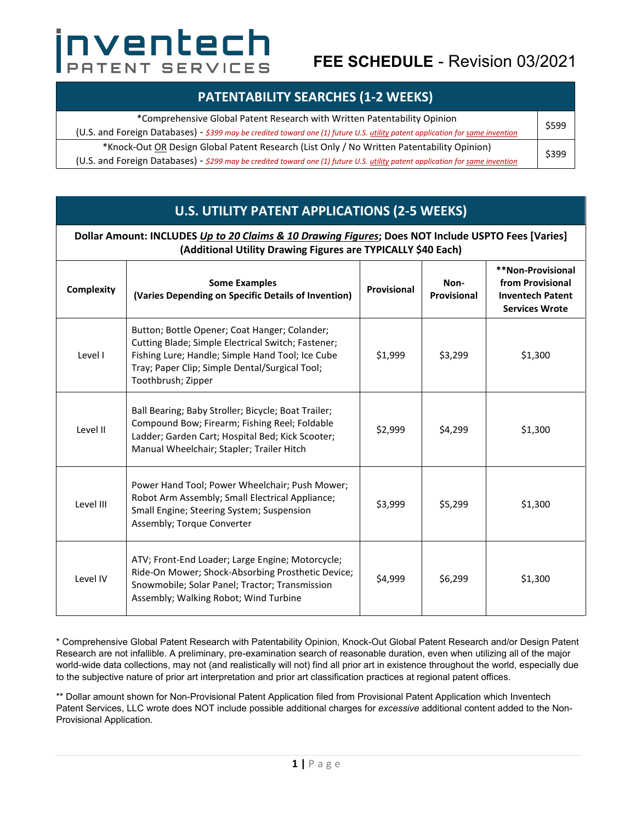# nventech PATENT SERVICES

## **FEE SCHEDULE** - Revision 03/2021

| *Comprehensive Global Patent Research with Written Patentability Opinion                                                      |  |  |  |
|-------------------------------------------------------------------------------------------------------------------------------|--|--|--|
| (U.S. and Foreign Databases) - \$399 may be credited toward one (1) future U.S. utility patent application for same invention |  |  |  |
| *Knock-Out OR Design Global Patent Research (List Only / No Written Patentability Opinion)                                    |  |  |  |
| (U.S. and Foreign Databases) - \$299 may be credited toward one (1) future U.S. utility patent application for same invention |  |  |  |

#### **U.S. UTILITY PATENT APPLICATIONS (2-5 WEEKS)**

| Dollar Amount: INCLUDES Up to 20 Claims & 10 Drawing Figures; Does NOT Include USPTO Fees [Varies]<br>(Additional Utility Drawing Figures are TYPICALLY \$40 Each) |                                                                                                                                                                                                                                 |             |                     |                                                                                           |  |  |  |
|--------------------------------------------------------------------------------------------------------------------------------------------------------------------|---------------------------------------------------------------------------------------------------------------------------------------------------------------------------------------------------------------------------------|-------------|---------------------|-------------------------------------------------------------------------------------------|--|--|--|
| Complexity                                                                                                                                                         | <b>Some Examples</b><br>(Varies Depending on Specific Details of Invention)                                                                                                                                                     | Provisional | Non-<br>Provisional | **Non-Provisional<br>from Provisional<br><b>Inventech Patent</b><br><b>Services Wrote</b> |  |  |  |
| Level I                                                                                                                                                            | Button; Bottle Opener; Coat Hanger; Colander;<br>Cutting Blade; Simple Electrical Switch; Fastener;<br>Fishing Lure; Handle; Simple Hand Tool; Ice Cube<br>Tray; Paper Clip; Simple Dental/Surgical Tool;<br>Toothbrush; Zipper | \$1,999     | \$3,299             | \$1,300                                                                                   |  |  |  |
| Level II                                                                                                                                                           | Ball Bearing; Baby Stroller; Bicycle; Boat Trailer;<br>Compound Bow; Firearm; Fishing Reel; Foldable<br>Ladder; Garden Cart; Hospital Bed; Kick Scooter;<br>Manual Wheelchair; Stapler; Trailer Hitch                           | \$2,999     | \$4,299             | \$1,300                                                                                   |  |  |  |
| Level III                                                                                                                                                          | Power Hand Tool; Power Wheelchair; Push Mower;<br>Robot Arm Assembly; Small Electrical Appliance;<br>Small Engine; Steering System; Suspension<br>Assembly; Torque Converter                                                    | \$3,999     | \$5,299             | \$1,300                                                                                   |  |  |  |
| Level IV                                                                                                                                                           | ATV; Front-End Loader; Large Engine; Motorcycle;<br>Ride-On Mower; Shock-Absorbing Prosthetic Device;<br>Snowmobile; Solar Panel; Tractor; Transmission<br>Assembly; Walking Robot; Wind Turbine                                | \$4,999     | \$6,299             | \$1,300                                                                                   |  |  |  |

\* Comprehensive Global Patent Research with Patentability Opinion, Knock-Out Global Patent Research and/or Design Patent Research are not infallible. A preliminary, pre-examination search of reasonable duration, even when utilizing all of the major world-wide data collections, may not (and realistically will not) find all prior art in existence throughout the world, especially due to the subjective nature of prior art interpretation and prior art classification practices at regional patent offices.

\*\* Dollar amount shown for Non-Provisional Patent Application filed from Provisional Patent Application which Inventech Patent Services, LLC wrote does NOT include possible additional charges for *excessive* additional content added to the Non-Provisional Application.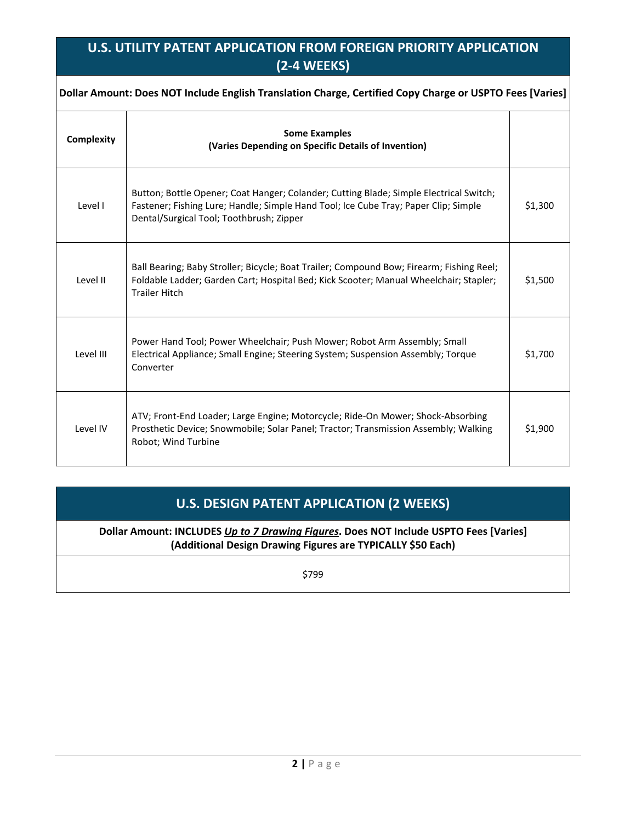#### **U.S. UTILITY PATENT APPLICATION FROM FOREIGN PRIORITY APPLICATION (2-4 WEEKS)**

| Dollar Amount: Does NOT Include English Translation Charge, Certified Copy Charge or USPTO Fees [Varies] |                                                                                                                                                                                                                           |         |  |  |  |
|----------------------------------------------------------------------------------------------------------|---------------------------------------------------------------------------------------------------------------------------------------------------------------------------------------------------------------------------|---------|--|--|--|
| Complexity                                                                                               | <b>Some Examples</b><br>(Varies Depending on Specific Details of Invention)                                                                                                                                               |         |  |  |  |
| Level I                                                                                                  | Button; Bottle Opener; Coat Hanger; Colander; Cutting Blade; Simple Electrical Switch;<br>Fastener; Fishing Lure; Handle; Simple Hand Tool; Ice Cube Tray; Paper Clip; Simple<br>Dental/Surgical Tool; Toothbrush; Zipper | \$1,300 |  |  |  |
| Level II                                                                                                 | Ball Bearing; Baby Stroller; Bicycle; Boat Trailer; Compound Bow; Firearm; Fishing Reel;<br>Foldable Ladder; Garden Cart; Hospital Bed; Kick Scooter; Manual Wheelchair; Stapler;<br><b>Trailer Hitch</b>                 | \$1,500 |  |  |  |
| Level III                                                                                                | Power Hand Tool; Power Wheelchair; Push Mower; Robot Arm Assembly; Small<br>Electrical Appliance; Small Engine; Steering System; Suspension Assembly; Torque<br>Converter                                                 | \$1,700 |  |  |  |
| Level IV                                                                                                 | ATV; Front-End Loader; Large Engine; Motorcycle; Ride-On Mower; Shock-Absorbing<br>Prosthetic Device; Snowmobile; Solar Panel; Tractor; Transmission Assembly; Walking<br>Robot; Wind Turbine                             | \$1,900 |  |  |  |

### **U.S. DESIGN PATENT APPLICATION (2 WEEKS)**

**Dollar Amount: INCLUDES** *Up to 7 Drawing Figures***. Does NOT Include USPTO Fees [Varies] (Additional Design Drawing Figures are TYPICALLY \$50 Each)** 

\$799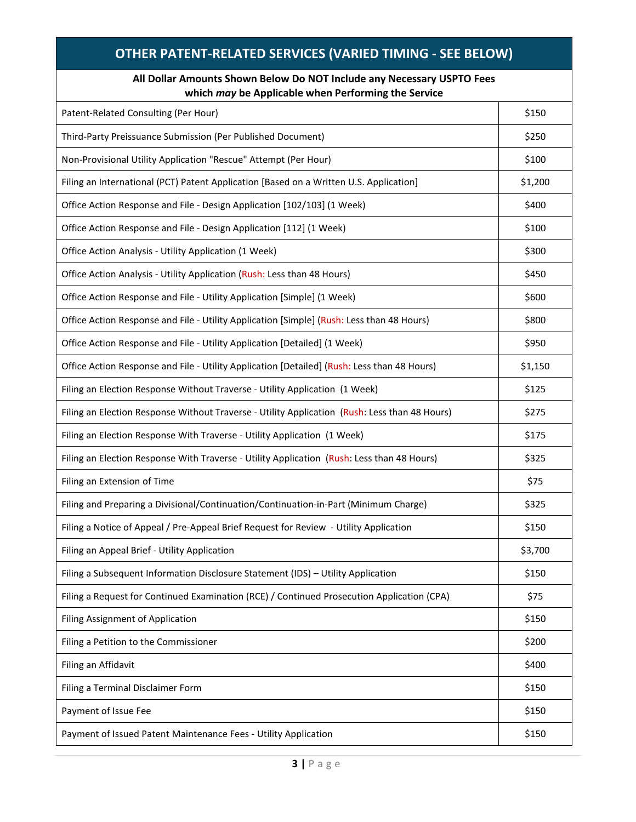| <b>OTHER PATENT-RELATED SERVICES (VARIED TIMING - SEE BELOW)</b>                                                              |         |  |  |  |
|-------------------------------------------------------------------------------------------------------------------------------|---------|--|--|--|
| All Dollar Amounts Shown Below Do NOT Include any Necessary USPTO Fees<br>which may be Applicable when Performing the Service |         |  |  |  |
| Patent-Related Consulting (Per Hour)                                                                                          | \$150   |  |  |  |
| Third-Party Preissuance Submission (Per Published Document)                                                                   | \$250   |  |  |  |
| Non-Provisional Utility Application "Rescue" Attempt (Per Hour)                                                               | \$100   |  |  |  |
| Filing an International (PCT) Patent Application [Based on a Written U.S. Application]                                        | \$1,200 |  |  |  |
| Office Action Response and File - Design Application [102/103] (1 Week)                                                       | \$400   |  |  |  |
| Office Action Response and File - Design Application [112] (1 Week)                                                           | \$100   |  |  |  |
| Office Action Analysis - Utility Application (1 Week)                                                                         | \$300   |  |  |  |
| Office Action Analysis - Utility Application (Rush: Less than 48 Hours)                                                       | \$450   |  |  |  |
| Office Action Response and File - Utility Application [Simple] (1 Week)                                                       | \$600   |  |  |  |
| Office Action Response and File - Utility Application [Simple] (Rush: Less than 48 Hours)                                     | \$800   |  |  |  |
| Office Action Response and File - Utility Application [Detailed] (1 Week)                                                     | \$950   |  |  |  |
| Office Action Response and File - Utility Application [Detailed] (Rush: Less than 48 Hours)                                   | \$1,150 |  |  |  |
| Filing an Election Response Without Traverse - Utility Application (1 Week)                                                   | \$125   |  |  |  |
| Filing an Election Response Without Traverse - Utility Application (Rush: Less than 48 Hours)                                 | \$275   |  |  |  |
| Filing an Election Response With Traverse - Utility Application (1 Week)                                                      | \$175   |  |  |  |
| Filing an Election Response With Traverse - Utility Application (Rush: Less than 48 Hours)                                    | \$325   |  |  |  |
| Filing an Extension of Time                                                                                                   | \$75    |  |  |  |
| Filing and Preparing a Divisional/Continuation/Continuation-in-Part (Minimum Charge)                                          | \$325   |  |  |  |
| Filing a Notice of Appeal / Pre-Appeal Brief Request for Review - Utility Application                                         | \$150   |  |  |  |
| Filing an Appeal Brief - Utility Application                                                                                  | \$3,700 |  |  |  |
| Filing a Subsequent Information Disclosure Statement (IDS) - Utility Application                                              | \$150   |  |  |  |
| Filing a Request for Continued Examination (RCE) / Continued Prosecution Application (CPA)                                    | \$75    |  |  |  |
| Filing Assignment of Application                                                                                              | \$150   |  |  |  |
| Filing a Petition to the Commissioner                                                                                         | \$200   |  |  |  |
| Filing an Affidavit                                                                                                           | \$400   |  |  |  |
| Filing a Terminal Disclaimer Form                                                                                             | \$150   |  |  |  |
| Payment of Issue Fee                                                                                                          | \$150   |  |  |  |
| Payment of Issued Patent Maintenance Fees - Utility Application                                                               | \$150   |  |  |  |